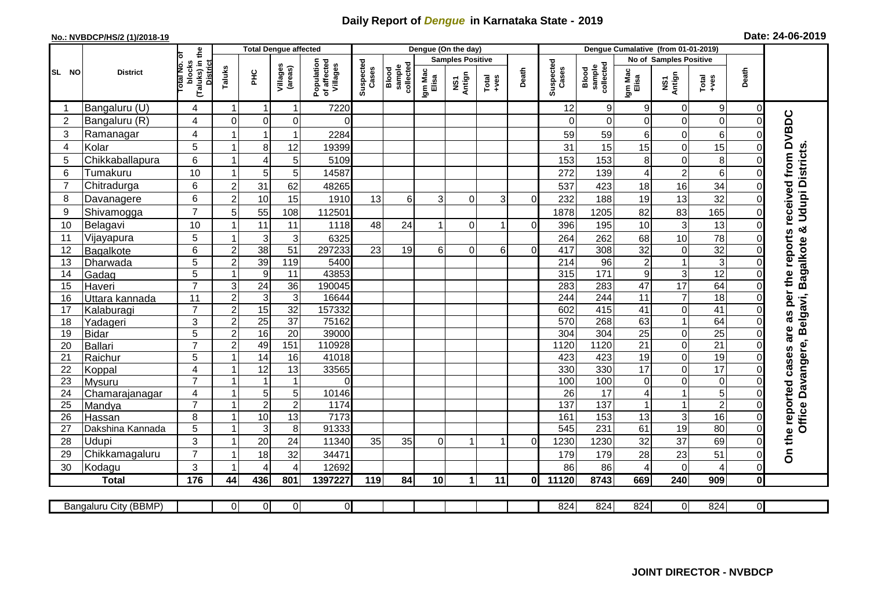## **Daily Report of** *Dengue* **in Karnataka State - 2019**

## **No.: NVBDCP/HS/2 (1)/2018-19 Date: 24-06-2019**

|                | <b>District</b>       |                                             | <b>Total Dengue affected</b> |                  |                     |                                       |                    |                              |                  | Dengue (On the day)               |                  |                |                    |                              |                  |                               |                  |                |                                            |
|----------------|-----------------------|---------------------------------------------|------------------------------|------------------|---------------------|---------------------------------------|--------------------|------------------------------|------------------|-----------------------------------|------------------|----------------|--------------------|------------------------------|------------------|-------------------------------|------------------|----------------|--------------------------------------------|
|                |                       |                                             |                              |                  |                     |                                       |                    |                              |                  | <b>Samples Positive</b>           |                  |                |                    |                              |                  | <b>No of Samples Positive</b> |                  |                |                                            |
| SL NO          |                       | (Taluks) in the<br>District<br>lotal No. ol | blocks<br>Taluks             | ΞÉ               | Villages<br>(areas) | Population<br>of affected<br>Villages | Suspected<br>Cases | sample<br>collected<br>Blood | Igm Mac<br>Elisa | Antign<br>$\overline{\mathbf{s}}$ | $Tota$<br>$+ves$ | Death          | Suspected<br>Cases | collected<br>sample<br>Blood | Igm Mac<br>Elisa | NS1<br>Antign                 | Total<br>$+ve$ s | Death          |                                            |
|                | Bangaluru (U)         | 4                                           | $\overline{1}$               | -1               | $\mathbf{1}$        | 7220                                  |                    |                              |                  |                                   |                  |                | 12                 | $\mathsf g$                  | 9                | $\mathbf 0$                   | $9\,$            | $\mathbf 0$    |                                            |
| $\overline{2}$ | Bangaluru (R)         | 4                                           | $\Omega$                     | $\mathbf 0$      | 0                   | $\Omega$                              |                    |                              |                  |                                   |                  |                | $\Omega$           | $\mathbf 0$                  | $\Omega$         | 0                             | $\overline{0}$   | $\mathbf 0$    |                                            |
| 3              | Ramanagar             | 4                                           |                              | $\overline{1}$   | $\mathbf{1}$        | 2284                                  |                    |                              |                  |                                   |                  |                | 59                 | 59                           | 6                | 0                             | 6                | $\Omega$       | are as per the reports received from DVBDC |
| 4              | Kolar                 | 5                                           | 1                            | 8                | 12                  | 19399                                 |                    |                              |                  |                                   |                  |                | 31                 | 15                           | 15               | 0                             | 15               | $\Omega$       |                                            |
| 5              | Chikkaballapura       | 6                                           | $\mathbf{1}$                 | $\overline{4}$   | 5                   | 5109                                  |                    |                              |                  |                                   |                  |                | 153                | 153                          | 8                | 0                             | 8                | $\Omega$       |                                            |
| 6              | Tumakuru              | 10                                          | -1                           | 5                | 5                   | 14587                                 |                    |                              |                  |                                   |                  |                | 272                | 139                          | 4                | $\overline{\mathbf{c}}$       | 6                | $\mathbf 0$    |                                            |
| 7              | Chitradurga           | 6                                           | $\overline{2}$               | 31               | 62                  | 48265                                 |                    |                              |                  |                                   |                  |                | 537                | 423                          | 18               | 16                            | 34               | $\mathbf 0$    |                                            |
| 8              | Davanagere            | 6                                           | $\overline{2}$               | 10               | 15                  | 1910                                  | 13                 | $6 \overline{6}$             | 3                | $\Omega$                          | 3                | $\Omega$       | 232                | 188                          | 19               | 13                            | 32               | $\mathbf 0$    |                                            |
| 9              | Shivamogga            | $\overline{7}$                              | 5                            | 55               | 108                 | 112501                                |                    |                              |                  |                                   |                  |                | 1878               | 1205                         | 82               | 83                            | 165              | $\mathbf 0$    | <b>Udupi Districts</b>                     |
| 10             | Belagavi              | 10                                          |                              | 11               | 11                  | 1118                                  | 48                 | 24                           |                  | 0                                 |                  | $\overline{0}$ | 396                | 195                          | 10               | $\mathsf 3$                   | 13               | $\Omega$       | න්                                         |
| 11             | Vijayapura            | 5                                           |                              | 3                | $\sqrt{3}$          | 6325                                  |                    |                              |                  |                                   |                  |                | 264                | 262                          | 68               | 10                            | 78               | $\mathbf 0$    |                                            |
| 12             | Bagalkote             | 6                                           | $\overline{2}$               | 38               | $\overline{51}$     | 297233                                | 23                 | 19                           | 6                | $\Omega$                          | 6                | $\Omega$       | $\overline{417}$   | 308                          | 32               | $\mathbf 0$                   | 32               | $\Omega$       | <b>Bagalkote</b>                           |
| 13             | Dharwada              | 5                                           | $\overline{c}$               | 39               | 119                 | 5400                                  |                    |                              |                  |                                   |                  |                | $\overline{214}$   | $\overline{96}$              | $\overline{c}$   | $\mathbf{1}$                  | $\overline{3}$   | $\mathbf 0$    |                                            |
| 14             | Gadag                 | 5                                           | $\mathbf{1}$                 | $\boldsymbol{9}$ | 11                  | 43853                                 |                    |                              |                  |                                   |                  |                | 315                | 171                          | $\boldsymbol{9}$ | 3                             | 12               | $\mathbf 0$    |                                            |
| 15             | Haveri                | $\overline{7}$                              | $\ensuremath{\mathsf{3}}$    | 24               | 36                  | 190045                                |                    |                              |                  |                                   |                  |                | 283                | 283                          | 47               | $\overline{17}$               | 64               | $\mathbf 0$    |                                            |
| 16             | Uttara kannada        | 11                                          | $\overline{c}$               | $\sqrt{3}$       | $\mathbf{3}$        | 16644                                 |                    |                              |                  |                                   |                  |                | 244                | 244                          | 11               | $\overline{7}$                | $\overline{18}$  | $\mathbf 0$    | Davangere, Belgavi,                        |
| 17             | Kalaburagi            | $\overline{7}$                              | $\overline{2}$               | 15               | 32                  | 157332                                |                    |                              |                  |                                   |                  |                | 602                | 415                          | $\overline{41}$  | 0                             | 41               | $\Omega$       |                                            |
| 18             | Yadageri              | 3                                           | $\overline{c}$               | 25               | 37                  | 75162                                 |                    |                              |                  |                                   |                  |                | 570                | 268                          | 63               | $\mathbf{1}$                  | 64               | $\Omega$       |                                            |
| 19             | <b>Bidar</b>          | $\overline{5}$                              | $\overline{2}$               | 16               | $\overline{20}$     | 39000                                 |                    |                              |                  |                                   |                  |                | $\overline{304}$   | 304                          | $\overline{25}$  | 0                             | $\overline{25}$  | $\Omega$       |                                            |
| 20             | Ballari               | $\overline{7}$                              | $\overline{2}$               | 49               | 151                 | 110928                                |                    |                              |                  |                                   |                  |                | 1120               | 1120                         | $\overline{21}$  | 0                             | $\overline{21}$  | $\mathbf 0$    |                                            |
| 21             | Raichur               | 5                                           | $\overline{ }$               | $\overline{14}$  | 16                  | 41018                                 |                    |                              |                  |                                   |                  |                | 423                | 423                          | $\overline{19}$  | 0                             | 19               | $\overline{0}$ |                                            |
| 22             | Koppal                | $\overline{4}$                              | -1                           | 12               | 13                  | 33565                                 |                    |                              |                  |                                   |                  |                | 330                | 330                          | 17               | 0                             | $\overline{17}$  | $\mathbf 0$    |                                            |
| 23             | Mysuru                | $\overline{7}$                              |                              | $\overline{1}$   | $\mathbf{1}$        | $\Omega$                              |                    |                              |                  |                                   |                  |                | 100                | 100                          | $\mathbf 0$      | 0                             | O                | $\mathbf 0$    |                                            |
| 24             | Chamarajanagar        | 4                                           |                              | $\overline{5}$   | $\overline{5}$      | 10146                                 |                    |                              |                  |                                   |                  |                | $\overline{26}$    | 17                           | 4                | 1                             | 5                | 0              |                                            |
| 25             | Mandya                | $\overline{7}$                              | $\overline{1}$               | $\overline{2}$   | $\overline{2}$      | 1174                                  |                    |                              |                  |                                   |                  |                | 137                | $\overline{137}$             |                  | $\mathbf{1}$                  | $\overline{2}$   | $\mathbf 0$    |                                            |
| 26             | Hassan                | 8                                           | $\overline{1}$               | 10               | $\overline{13}$     | 7173                                  |                    |                              |                  |                                   |                  |                | 161                | 153                          | 13               | $\mathbf{3}$                  | 16               | $\overline{0}$ | Office                                     |
| 27             | Dakshina Kannada      | 5                                           | $\mathbf{1}$                 | 3                | 8                   | 91333                                 |                    |                              |                  |                                   |                  |                | 545                | 231                          | 61               | $\overline{19}$               | 80               | $\mathbf 0$    |                                            |
| 28             | Udupi                 | 3<br>$\overline{7}$                         | -1                           | 20               | 24                  | 11340                                 | 35                 | 35                           | 0                | 1                                 | $\mathbf 1$      | $\Omega$       | 1230               | 1230                         | 32               | 37                            | 69               | $\Omega$       | On the reported cases                      |
| 29             | Chikkamagaluru        |                                             | -1                           | 18               | 32                  | 34471                                 |                    |                              |                  |                                   |                  |                | 179                | 179                          | 28               | 23                            | 51               | $\mathbf 0$    |                                            |
| 30             | Kodagu                | 3                                           |                              | $\overline{4}$   | 4                   | 12692                                 |                    |                              |                  |                                   |                  |                | 86                 | 86                           | 4                | 0                             | 4                | $\mathbf 0$    |                                            |
|                | <b>Total</b>          | 176                                         | 44                           | 436              | 801                 | 1397227                               | 119                | 84                           | 10               | $\mathbf{1}$                      | 11               | 0l             | 11120              | 8743                         | 669              | 240                           | 909              | $\mathbf 0$    |                                            |
|                |                       |                                             |                              |                  |                     |                                       |                    |                              |                  |                                   |                  |                |                    |                              |                  |                               |                  |                |                                            |
|                | Bangaluru City (BBMP) |                                             | $\Omega$                     | $\overline{0}$   | $\overline{0}$      | $\overline{0}$                        |                    |                              |                  |                                   |                  |                | 824                | 824                          | 824              | $\overline{0}$                | 824              | $\overline{0}$ |                                            |